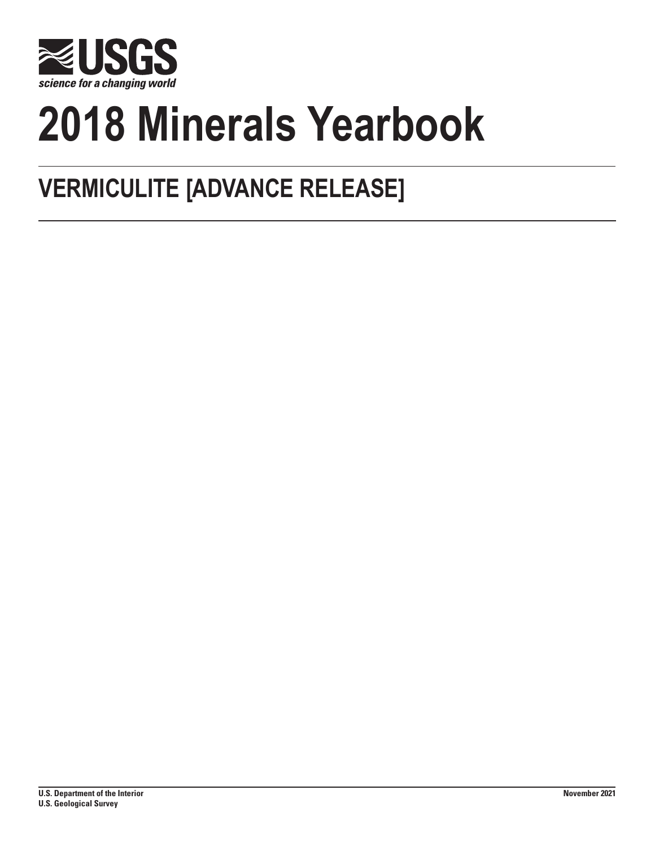

# **2018 Minerals Yearbook**

## **VERMICULITE [ADVANCE RELEASE]**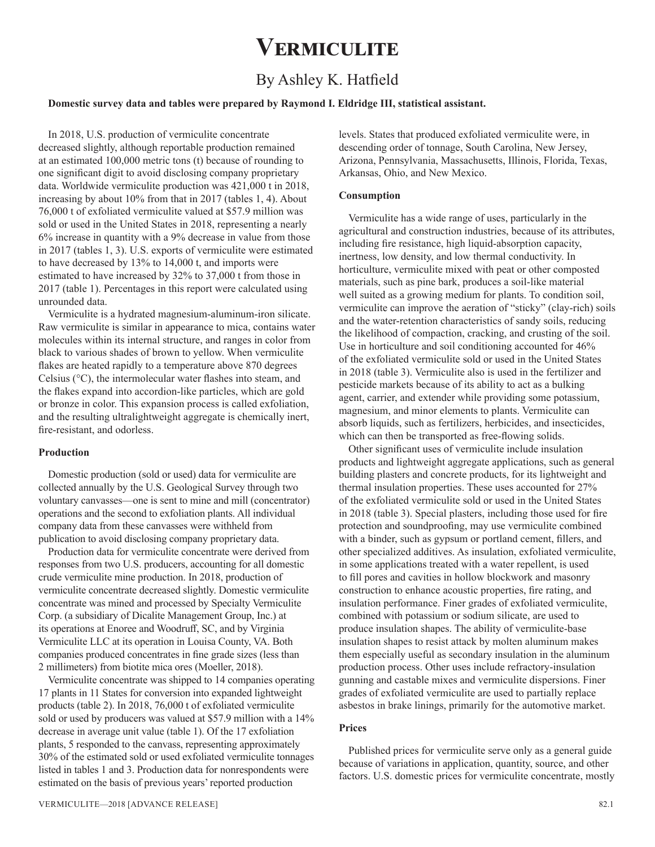## **Vermiculite**

### By Ashley K. Hatfield

#### **Domestic survey data and tables were prepared by Raymond I. Eldridge III, statistical assistant.**

In 2018, U.S. production of vermiculite concentrate decreased slightly, although reportable production remained at an estimated 100,000 metric tons (t) because of rounding to one significant digit to avoid disclosing company proprietary data. Worldwide vermiculite production was 421,000 t in 2018, increasing by about 10% from that in 2017 (tables 1, 4). About 76,000 t of exfoliated vermiculite valued at \$57.9 million was sold or used in the United States in 2018, representing a nearly 6% increase in quantity with a 9% decrease in value from those in 2017 (tables 1, 3). U.S. exports of vermiculite were estimated to have decreased by 13% to 14,000 t, and imports were estimated to have increased by 32% to 37,000 t from those in 2017 (table 1). Percentages in this report were calculated using unrounded data.

Vermiculite is a hydrated magnesium-aluminum-iron silicate. Raw vermiculite is similar in appearance to mica, contains water molecules within its internal structure, and ranges in color from black to various shades of brown to yellow. When vermiculite flakes are heated rapidly to a temperature above 870 degrees Celsius (°C), the intermolecular water flashes into steam, and the flakes expand into accordion-like particles, which are gold or bronze in color. This expansion process is called exfoliation, and the resulting ultralightweight aggregate is chemically inert, fire-resistant, and odorless.

#### **Production**

Domestic production (sold or used) data for vermiculite are collected annually by the U.S. Geological Survey through two voluntary canvasses—one is sent to mine and mill (concentrator) operations and the second to exfoliation plants. All individual company data from these canvasses were withheld from publication to avoid disclosing company proprietary data.

Production data for vermiculite concentrate were derived from responses from two U.S. producers, accounting for all domestic crude vermiculite mine production. In 2018, production of vermiculite concentrate decreased slightly. Domestic vermiculite concentrate was mined and processed by Specialty Vermiculite Corp. (a subsidiary of Dicalite Management Group, Inc.) at its operations at Enoree and Woodruff, SC, and by Virginia Vermiculite LLC at its operation in Louisa County, VA. Both companies produced concentrates in fine grade sizes (less than 2 millimeters) from biotite mica ores (Moeller, 2018).

Vermiculite concentrate was shipped to 14 companies operating 17 plants in 11 States for conversion into expanded lightweight products (table 2). In 2018, 76,000 t of exfoliated vermiculite sold or used by producers was valued at \$57.9 million with a 14% decrease in average unit value (table 1). Of the 17 exfoliation plants, 5 responded to the canvass, representing approximately 30% of the estimated sold or used exfoliated vermiculite tonnages listed in tables 1 and 3. Production data for nonrespondents were estimated on the basis of previous years' reported production

levels. States that produced exfoliated vermiculite were, in descending order of tonnage, South Carolina, New Jersey, Arizona, Pennsylvania, Massachusetts, Illinois, Florida, Texas, Arkansas, Ohio, and New Mexico.

#### **Consumption**

Vermiculite has a wide range of uses, particularly in the agricultural and construction industries, because of its attributes, including fire resistance, high liquid-absorption capacity, inertness, low density, and low thermal conductivity. In horticulture, vermiculite mixed with peat or other composted materials, such as pine bark, produces a soil-like material well suited as a growing medium for plants. To condition soil, vermiculite can improve the aeration of "sticky" (clay-rich) soils and the water-retention characteristics of sandy soils, reducing the likelihood of compaction, cracking, and crusting of the soil. Use in horticulture and soil conditioning accounted for 46% of the exfoliated vermiculite sold or used in the United States in 2018 (table 3). Vermiculite also is used in the fertilizer and pesticide markets because of its ability to act as a bulking agent, carrier, and extender while providing some potassium, magnesium, and minor elements to plants. Vermiculite can absorb liquids, such as fertilizers, herbicides, and insecticides, which can then be transported as free-flowing solids.

Other significant uses of vermiculite include insulation products and lightweight aggregate applications, such as general building plasters and concrete products, for its lightweight and thermal insulation properties. These uses accounted for 27% of the exfoliated vermiculite sold or used in the United States in 2018 (table 3). Special plasters, including those used for fire protection and soundproofing, may use vermiculite combined with a binder, such as gypsum or portland cement, fillers, and other specialized additives. As insulation, exfoliated vermiculite, in some applications treated with a water repellent, is used to fill pores and cavities in hollow blockwork and masonry construction to enhance acoustic properties, fire rating, and insulation performance. Finer grades of exfoliated vermiculite, combined with potassium or sodium silicate, are used to produce insulation shapes. The ability of vermiculite-base insulation shapes to resist attack by molten aluminum makes them especially useful as secondary insulation in the aluminum production process. Other uses include refractory-insulation gunning and castable mixes and vermiculite dispersions. Finer grades of exfoliated vermiculite are used to partially replace asbestos in brake linings, primarily for the automotive market.

#### **Prices**

Published prices for vermiculite serve only as a general guide because of variations in application, quantity, source, and other factors. U.S. domestic prices for vermiculite concentrate, mostly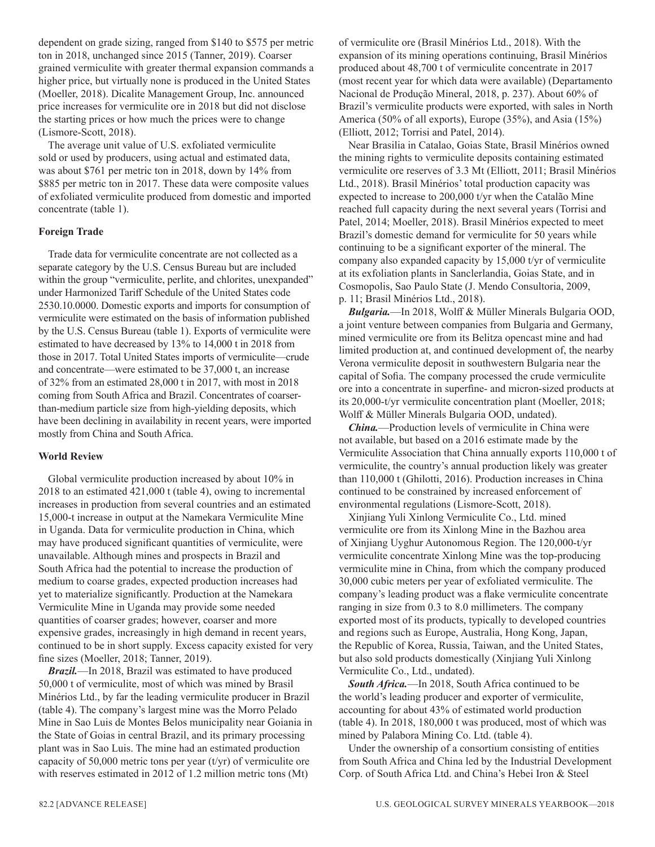dependent on grade sizing, ranged from \$140 to \$575 per metric ton in 2018, unchanged since 2015 (Tanner, 2019). Coarser grained vermiculite with greater thermal expansion commands a higher price, but virtually none is produced in the United States (Moeller, 2018). Dicalite Management Group, Inc. announced price increases for vermiculite ore in 2018 but did not disclose the starting prices or how much the prices were to change (Lismore-Scott, 2018).

The average unit value of U.S. exfoliated vermiculite sold or used by producers, using actual and estimated data, was about \$761 per metric ton in 2018, down by 14% from \$885 per metric ton in 2017. These data were composite values of exfoliated vermiculite produced from domestic and imported concentrate (table 1).

#### **Foreign Trade**

Trade data for vermiculite concentrate are not collected as a separate category by the U.S. Census Bureau but are included within the group "vermiculite, perlite, and chlorites, unexpanded" under Harmonized Tariff Schedule of the United States code 2530.10.0000. Domestic exports and imports for consumption of vermiculite were estimated on the basis of information published by the U.S. Census Bureau (table 1). Exports of vermiculite were estimated to have decreased by 13% to 14,000 t in 2018 from those in 2017. Total United States imports of vermiculite—crude and concentrate—were estimated to be 37,000 t, an increase of 32% from an estimated 28,000 t in 2017, with most in 2018 coming from South Africa and Brazil. Concentrates of coarserthan-medium particle size from high-yielding deposits, which have been declining in availability in recent years, were imported mostly from China and South Africa.

#### **World Review**

Global vermiculite production increased by about 10% in 2018 to an estimated 421,000 t (table 4), owing to incremental increases in production from several countries and an estimated 15,000-t increase in output at the Namekara Vermiculite Mine in Uganda. Data for vermiculite production in China, which may have produced significant quantities of vermiculite, were unavailable. Although mines and prospects in Brazil and South Africa had the potential to increase the production of medium to coarse grades, expected production increases had yet to materialize significantly. Production at the Namekara Vermiculite Mine in Uganda may provide some needed quantities of coarser grades; however, coarser and more expensive grades, increasingly in high demand in recent years, continued to be in short supply. Excess capacity existed for very fine sizes (Moeller, 2018; Tanner, 2019).

*Brazil.*—In 2018, Brazil was estimated to have produced 50,000 t of vermiculite, most of which was mined by Brasil Minérios Ltd., by far the leading vermiculite producer in Brazil (table 4). The company's largest mine was the Morro Pelado Mine in Sao Luis de Montes Belos municipality near Goiania in the State of Goias in central Brazil, and its primary processing plant was in Sao Luis. The mine had an estimated production capacity of 50,000 metric tons per year (t/yr) of vermiculite ore with reserves estimated in 2012 of 1.2 million metric tons (Mt)

of vermiculite ore (Brasil Minérios Ltd., 2018). With the expansion of its mining operations continuing, Brasil Minérios produced about 48,700 t of vermiculite concentrate in 2017 (most recent year for which data were available) (Departamento Nacional de Produção Mineral, 2018, p. 237). About 60% of Brazil's vermiculite products were exported, with sales in North America (50% of all exports), Europe (35%), and Asia (15%) (Elliott, 2012; Torrisi and Patel, 2014).

Near Brasilia in Catalao, Goias State, Brasil Minérios owned the mining rights to vermiculite deposits containing estimated vermiculite ore reserves of 3.3 Mt (Elliott, 2011; Brasil Minérios Ltd., 2018). Brasil Minérios' total production capacity was expected to increase to 200,000 t/yr when the Catalão Mine reached full capacity during the next several years (Torrisi and Patel, 2014; Moeller, 2018). Brasil Minérios expected to meet Brazil's domestic demand for vermiculite for 50 years while continuing to be a significant exporter of the mineral. The company also expanded capacity by 15,000 t/yr of vermiculite at its exfoliation plants in Sanclerlandia, Goias State, and in Cosmopolis, Sao Paulo State (J. Mendo Consultoria, 2009, p. 11; Brasil Minérios Ltd., 2018).

*Bulgaria.*—In 2018, Wolff & Müller Minerals Bulgaria OOD, a joint venture between companies from Bulgaria and Germany, mined vermiculite ore from its Belitza opencast mine and had limited production at, and continued development of, the nearby Verona vermiculite deposit in southwestern Bulgaria near the capital of Sofia. The company processed the crude vermiculite ore into a concentrate in superfine- and micron-sized products at its 20,000-t/yr vermiculite concentration plant (Moeller, 2018; Wolff & Müller Minerals Bulgaria OOD, undated).

*China.*—Production levels of vermiculite in China were not available, but based on a 2016 estimate made by the Vermiculite Association that China annually exports 110,000 t of vermiculite, the country's annual production likely was greater than 110,000 t (Ghilotti, 2016). Production increases in China continued to be constrained by increased enforcement of environmental regulations (Lismore-Scott, 2018).

Xinjiang Yuli Xinlong Vermiculite Co., Ltd. mined vermiculite ore from its Xinlong Mine in the Bazhou area of Xinjiang Uyghur Autonomous Region. The 120,000-t/yr vermiculite concentrate Xinlong Mine was the top-producing vermiculite mine in China, from which the company produced 30,000 cubic meters per year of exfoliated vermiculite. The company's leading product was a flake vermiculite concentrate ranging in size from 0.3 to 8.0 millimeters. The company exported most of its products, typically to developed countries and regions such as Europe, Australia, Hong Kong, Japan, the Republic of Korea, Russia, Taiwan, and the United States, but also sold products domestically (Xinjiang Yuli Xinlong Vermiculite Co., Ltd., undated).

*South Africa.*—In 2018, South Africa continued to be the world's leading producer and exporter of vermiculite, accounting for about 43% of estimated world production (table 4). In 2018, 180,000 t was produced, most of which was mined by Palabora Mining Co. Ltd. (table 4).

Under the ownership of a consortium consisting of entities from South Africa and China led by the Industrial Development Corp. of South Africa Ltd. and China's Hebei Iron & Steel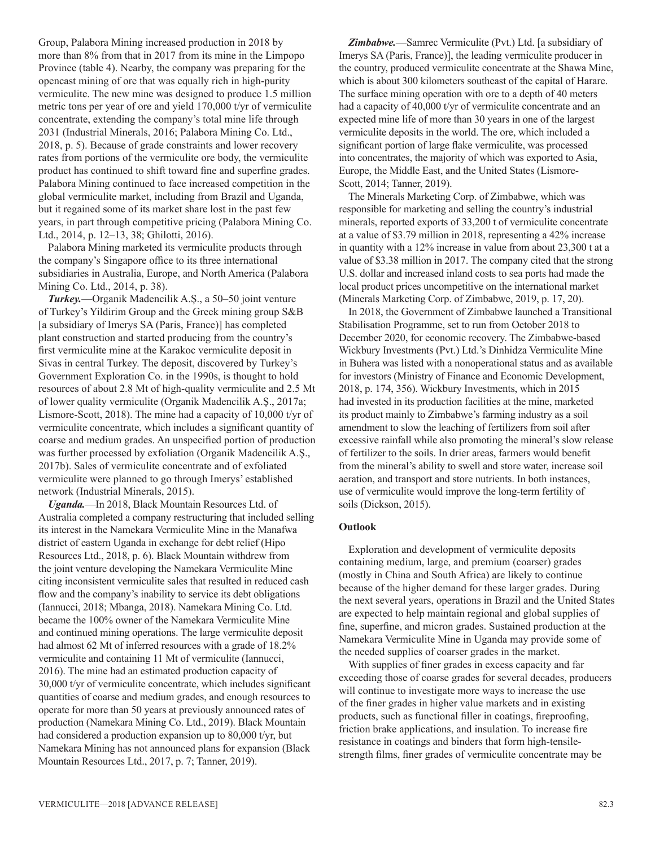Group, Palabora Mining increased production in 2018 by more than 8% from that in 2017 from its mine in the Limpopo Province (table 4). Nearby, the company was preparing for the opencast mining of ore that was equally rich in high-purity vermiculite. The new mine was designed to produce 1.5 million metric tons per year of ore and yield 170,000 t/yr of vermiculite concentrate, extending the company's total mine life through 2031 (Industrial Minerals, 2016; Palabora Mining Co. Ltd., 2018, p. 5). Because of grade constraints and lower recovery rates from portions of the vermiculite ore body, the vermiculite product has continued to shift toward fine and superfine grades. Palabora Mining continued to face increased competition in the global vermiculite market, including from Brazil and Uganda, but it regained some of its market share lost in the past few years, in part through competitive pricing (Palabora Mining Co. Ltd., 2014, p. 12–13, 38; Ghilotti, 2016).

Palabora Mining marketed its vermiculite products through the company's Singapore office to its three international subsidiaries in Australia, Europe, and North America (Palabora Mining Co. Ltd., 2014, p. 38).

*Turkey.*—Organik Madencilik A.Ş., a 50–50 joint venture of Turkey's Yildirim Group and the Greek mining group S&B [a subsidiary of Imerys SA (Paris, France)] has completed plant construction and started producing from the country's first vermiculite mine at the Karakoc vermiculite deposit in Sivas in central Turkey. The deposit, discovered by Turkey's Government Exploration Co. in the 1990s, is thought to hold resources of about 2.8 Mt of high-quality vermiculite and 2.5 Mt of lower quality vermiculite (Organik Madencilik A.Ş., 2017a; Lismore-Scott, 2018). The mine had a capacity of 10,000 t/yr of vermiculite concentrate, which includes a significant quantity of coarse and medium grades. An unspecified portion of production was further processed by exfoliation (Organik Madencilik A.Ş., 2017b). Sales of vermiculite concentrate and of exfoliated vermiculite were planned to go through Imerys' established network (Industrial Minerals, 2015).

*Uganda.*—In 2018, Black Mountain Resources Ltd. of Australia completed a company restructuring that included selling its interest in the Namekara Vermiculite Mine in the Manafwa district of eastern Uganda in exchange for debt relief (Hipo Resources Ltd., 2018, p. 6). Black Mountain withdrew from the joint venture developing the Namekara Vermiculite Mine citing inconsistent vermiculite sales that resulted in reduced cash flow and the company's inability to service its debt obligations (Iannucci, 2018; Mbanga, 2018). Namekara Mining Co. Ltd. became the 100% owner of the Namekara Vermiculite Mine and continued mining operations. The large vermiculite deposit had almost 62 Mt of inferred resources with a grade of 18.2% vermiculite and containing 11 Mt of vermiculite (Iannucci, 2016). The mine had an estimated production capacity of 30,000 t/yr of vermiculite concentrate, which includes significant quantities of coarse and medium grades, and enough resources to operate for more than 50 years at previously announced rates of production (Namekara Mining Co. Ltd., 2019). Black Mountain had considered a production expansion up to 80,000 t/yr, but Namekara Mining has not announced plans for expansion (Black Mountain Resources Ltd., 2017, p. 7; Tanner, 2019).

*Zimbabwe.*—Samrec Vermiculite (Pvt.) Ltd. [a subsidiary of Imerys SA (Paris, France)], the leading vermiculite producer in the country, produced vermiculite concentrate at the Shawa Mine, which is about 300 kilometers southeast of the capital of Harare. The surface mining operation with ore to a depth of 40 meters had a capacity of 40,000 t/yr of vermiculite concentrate and an expected mine life of more than 30 years in one of the largest vermiculite deposits in the world. The ore, which included a significant portion of large flake vermiculite, was processed into concentrates, the majority of which was exported to Asia, Europe, the Middle East, and the United States (Lismore-Scott, 2014; Tanner, 2019).

The Minerals Marketing Corp. of Zimbabwe, which was responsible for marketing and selling the country's industrial minerals, reported exports of 33,200 t of vermiculite concentrate at a value of \$3.79 million in 2018, representing a 42% increase in quantity with a 12% increase in value from about 23,300 t at a value of \$3.38 million in 2017. The company cited that the strong U.S. dollar and increased inland costs to sea ports had made the local product prices uncompetitive on the international market (Minerals Marketing Corp. of Zimbabwe, 2019, p. 17, 20).

In 2018, the Government of Zimbabwe launched a Transitional Stabilisation Programme, set to run from October 2018 to December 2020, for economic recovery. The Zimbabwe-based Wickbury Investments (Pvt.) Ltd.'s Dinhidza Vermiculite Mine in Buhera was listed with a nonoperational status and as available for investors (Ministry of Finance and Economic Development, 2018, p. 174, 356). Wickbury Investments, which in 2015 had invested in its production facilities at the mine, marketed its product mainly to Zimbabwe's farming industry as a soil amendment to slow the leaching of fertilizers from soil after excessive rainfall while also promoting the mineral's slow release of fertilizer to the soils. In drier areas, farmers would benefit from the mineral's ability to swell and store water, increase soil aeration, and transport and store nutrients. In both instances, use of vermiculite would improve the long-term fertility of soils (Dickson, 2015).

#### **Outlook**

Exploration and development of vermiculite deposits containing medium, large, and premium (coarser) grades (mostly in China and South Africa) are likely to continue because of the higher demand for these larger grades. During the next several years, operations in Brazil and the United States are expected to help maintain regional and global supplies of fine, superfine, and micron grades. Sustained production at the Namekara Vermiculite Mine in Uganda may provide some of the needed supplies of coarser grades in the market.

With supplies of finer grades in excess capacity and far exceeding those of coarse grades for several decades, producers will continue to investigate more ways to increase the use of the finer grades in higher value markets and in existing products, such as functional filler in coatings, fireproofing, friction brake applications, and insulation. To increase fire resistance in coatings and binders that form high-tensilestrength films, finer grades of vermiculite concentrate may be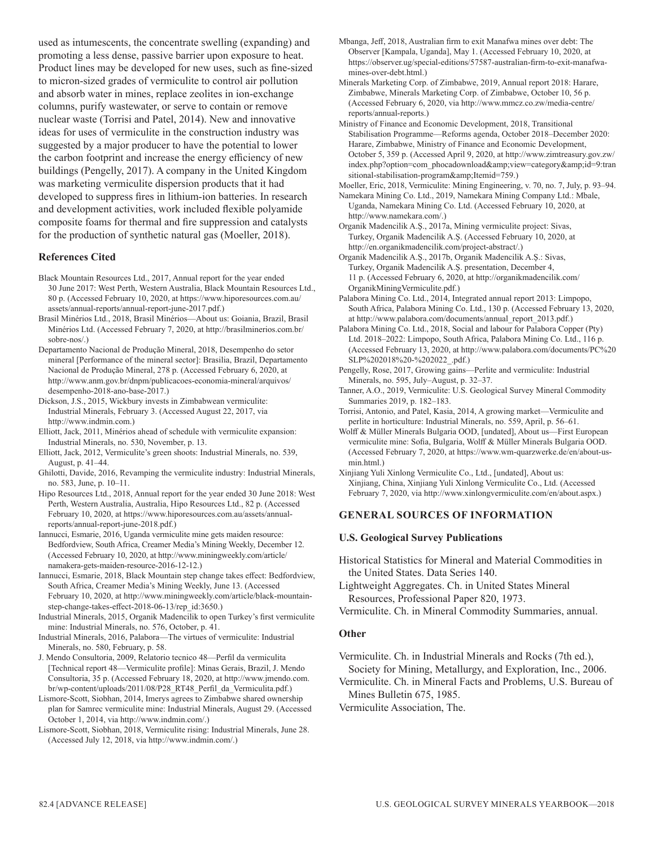used as intumescents, the concentrate swelling (expanding) and promoting a less dense, passive barrier upon exposure to heat. Product lines may be developed for new uses, such as fine-sized to micron-sized grades of vermiculite to control air pollution and absorb water in mines, replace zeolites in ion-exchange columns, purify wastewater, or serve to contain or remove nuclear waste (Torrisi and Patel, 2014). New and innovative ideas for uses of vermiculite in the construction industry was suggested by a major producer to have the potential to lower the carbon footprint and increase the energy efficiency of new buildings (Pengelly, 2017). A company in the United Kingdom was marketing vermiculite dispersion products that it had developed to suppress fires in lithium-ion batteries. In research and development activities, work included flexible polyamide composite foams for thermal and fire suppression and catalysts for the production of synthetic natural gas (Moeller, 2018).

#### **References Cited**

- Black Mountain Resources Ltd., 2017, Annual report for the year ended 30 June 2017: West Perth, Western Australia, Black Mountain Resources Ltd., 80 p. (Accessed February 10, 2020, at https://www.hiporesources.com.au/ assets/annual-reports/annual-report-june-2017.pdf.)
- Brasil Minérios Ltd., 2018, Brasil Minérios—About us: Goiania, Brazil, Brasil Minérios Ltd. (Accessed February 7, 2020, at http://brasilminerios.com.br/ sobre-nos/.)
- Departamento Nacional de Produção Mineral, 2018, Desempenho do setor mineral [Performance of the mineral sector]: Brasilia, Brazil, Departamento Nacional de Produção Mineral, 278 p. (Accessed February 6, 2020, at http://www.anm.gov.br/dnpm/publicacoes-economia-mineral/arquivos/ desempenho-2018-ano-base-2017.)
- Dickson, J.S., 2015, Wickbury invests in Zimbabwean vermiculite: Industrial Minerals, February 3. (Accessed August 22, 2017, via http://www.indmin.com.)
- Elliott, Jack, 2011, Minérios ahead of schedule with vermiculite expansion: Industrial Minerals, no. 530, November, p. 13.
- Elliott, Jack, 2012, Vermiculite's green shoots: Industrial Minerals, no. 539, August, p. 41–44.
- Ghilotti, Davide, 2016, Revamping the vermiculite industry: Industrial Minerals, no. 583, June, p. 10–11.
- Hipo Resources Ltd., 2018, Annual report for the year ended 30 June 2018: West Perth, Western Australia, Australia, Hipo Resources Ltd., 82 p. (Accessed February 10, 2020, at https://www.hiporesources.com.au/assets/annualreports/annual-report-june-2018.pdf.)
- Iannucci, Esmarie, 2016, Uganda vermiculite mine gets maiden resource: Bedfordview, South Africa, Creamer Media's Mining Weekly, December 12. (Accessed February 10, 2020, at http://www.miningweekly.com/article/ namakera-gets-maiden-resource-2016-12-12.)
- Iannucci, Esmarie, 2018, Black Mountain step change takes effect: Bedfordview, South Africa, Creamer Media's Mining Weekly, June 13. (Accessed February 10, 2020, at http://www.miningweekly.com/article/black-mountainstep-change-takes-effect-2018-06-13/rep\_id:3650.)

Industrial Minerals, 2015, Organik Madencilik to open Turkey's first vermiculite mine: Industrial Minerals, no. 576, October, p. 41.

Industrial Minerals, 2016, Palabora—The virtues of vermiculite: Industrial Minerals, no. 580, February, p. 58.

- J. Mendo Consultoria, 2009, Relatorio tecnico 48—Perfil da vermiculita [Technical report 48—Vermiculite profile]: Minas Gerais, Brazil, J. Mendo Consultoria, 35 p. (Accessed February 18, 2020, at http://www.jmendo.com. br/wp-content/uploads/2011/08/P28\_RT48\_Perfil\_da\_Vermiculita.pdf.)
- Lismore-Scott, Siobhan, 2014, Imerys agrees to Zimbabwe shared ownership plan for Samrec vermiculite mine: Industrial Minerals, August 29. (Accessed October 1, 2014, via http://www.indmin.com/.)
- Lismore-Scott, Siobhan, 2018, Vermiculite rising: Industrial Minerals, June 28. (Accessed July 12, 2018, via http://www.indmin.com/.)

Mbanga, Jeff, 2018, Australian firm to exit Manafwa mines over debt: The Observer [Kampala, Uganda], May 1. (Accessed February 10, 2020, at https://observer.ug/special-editions/57587-australian-firm-to-exit-manafwamines-over-debt.html.)

Minerals Marketing Corp. of Zimbabwe, 2019, Annual report 2018: Harare, Zimbabwe, Minerals Marketing Corp. of Zimbabwe, October 10, 56 p. (Accessed February 6, 2020, via http://www.mmcz.co.zw/media-centre/ reports/annual-reports.)

Ministry of Finance and Economic Development, 2018, Transitional Stabilisation Programme—Reforms agenda, October 2018–December 2020: Harare, Zimbabwe, Ministry of Finance and Economic Development, October 5, 359 p. (Accessed April 9, 2020, at http://www.zimtreasury.gov.zw/ index.php?option=com\_phocadownload&view=category&id=9:tran sitional-stabilisation-program&Itemid=759.)

Moeller, Eric, 2018, Vermiculite: Mining Engineering, v. 70, no. 7, July, p. 93–94.

- Namekara Mining Co. Ltd., 2019, Namekara Mining Company Ltd.: Mbale, Uganda, Namekara Mining Co. Ltd. (Accessed February 10, 2020, at http://www.namekara.com/.)
- Organik Madencilik A.Ş., 2017a, Mining vermiculite project: Sivas, Turkey, Organik Madencilik A.Ş. (Accessed February 10, 2020, at http://en.organikmadencilik.com/project-abstract/.)
- Organik Madencilik A.Ş., 2017b, Organik Madencilik A.Ş.: Sivas, Turkey, Organik Madencilik A.Ş. presentation, December 4, 11 p. (Accessed February 6, 2020, at http://organikmadencilik.com/ OrganikMiningVermiculite.pdf.)
- Palabora Mining Co. Ltd., 2014, Integrated annual report 2013: Limpopo, South Africa, Palabora Mining Co. Ltd., 130 p. (Accessed February 13, 2020, at http://www.palabora.com/documents/annual\_report\_2013.pdf.)
- Palabora Mining Co. Ltd., 2018, Social and labour for Palabora Copper (Pty) Ltd. 2018–2022: Limpopo, South Africa, Palabora Mining Co. Ltd., 116 p. (Accessed February 13, 2020, at http://www.palabora.com/documents/PC%20 SLP%202018%20-%202022\_.pdf.)
- Pengelly, Rose, 2017, Growing gains—Perlite and vermiculite: Industrial Minerals, no. 595, July–August, p. 32–37.
- Tanner, A.O., 2019, Vermiculite: U.S. Geological Survey Mineral Commodity Summaries 2019, p. 182–183.
- Torrisi, Antonio, and Patel, Kasia, 2014, A growing market—Vermiculite and perlite in horticulture: Industrial Minerals, no. 559, April, p. 56–61.
- Wolff & Müller Minerals Bulgaria OOD, [undated], About us—First European vermiculite mine: Sofia, Bulgaria, Wolff & Müller Minerals Bulgaria OOD. (Accessed February 7, 2020, at https://www.wm-quarzwerke.de/en/about-usmin.html.)

Xinjiang Yuli Xinlong Vermiculite Co., Ltd., [undated], About us: Xinjiang, China, Xinjiang Yuli Xinlong Vermiculite Co., Ltd. (Accessed February 7, 2020, via http://www.xinlongvermiculite.com/en/about.aspx.)

#### **GENERAL SOURCES OF INFORMATION**

#### **U.S. Geological Survey Publications**

- Historical Statistics for Mineral and Material Commodities in the United States. Data Series 140.
- Lightweight Aggregates. Ch. in United States Mineral Resources, Professional Paper 820, 1973.
- Vermiculite. Ch. in Mineral Commodity Summaries, annual.

#### **Other**

Vermiculite. Ch. in Industrial Minerals and Rocks (7th ed.),

- Society for Mining, Metallurgy, and Exploration, Inc., 2006.
- Vermiculite. Ch. in Mineral Facts and Problems, U.S. Bureau of Mines Bulletin 675, 1985.

Vermiculite Association, The.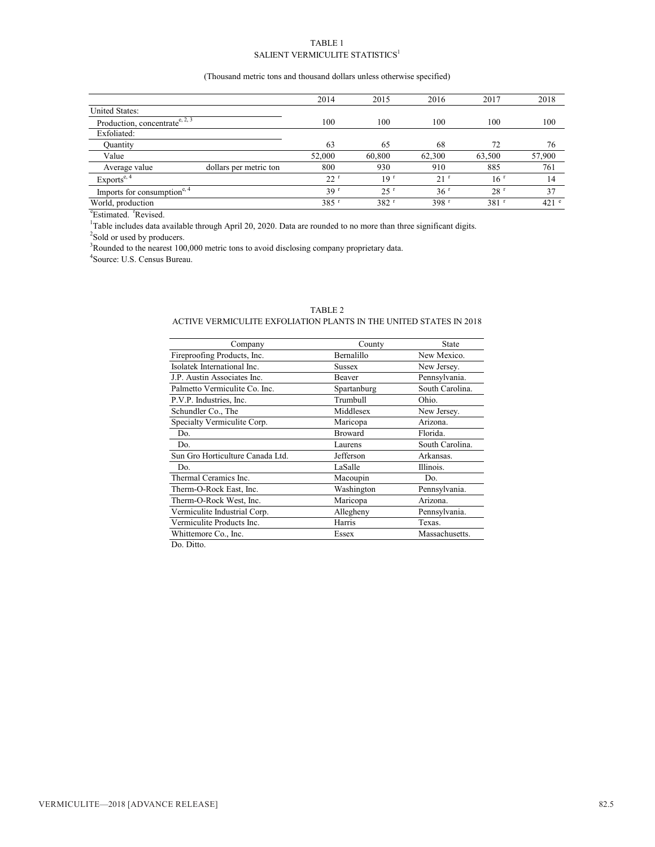#### SALIENT VERMICULITE STATISTICS $^1$ TABLE 1

#### (Thousand metric tons and thousand dollars unless otherwise specified)

|                                            |                        | 2014               | 2015              | 2016              | 2017               | 2018   |
|--------------------------------------------|------------------------|--------------------|-------------------|-------------------|--------------------|--------|
| United States:                             |                        |                    |                   |                   |                    |        |
| Production, concentrate <sup>e, 2, 3</sup> |                        | 100                | 100               | 100               | 100                | 100    |
| Exfoliated:                                |                        |                    |                   |                   |                    |        |
| Quantity                                   |                        | 63                 | 65                | 68                | 72                 | 76     |
| Value                                      |                        | 52,000             | 60,800            | 62,300            | 63,500             | 57,900 |
| Average value                              | dollars per metric ton | 800                | 930               | 910               | 885                | 761    |
| Exports <sup>e, 4</sup>                    |                        | 22 <sup>1</sup>    | 19 <sup>r</sup>   | $21$ <sup>r</sup> | 16 <sup>r</sup>    | 14     |
| Imports for consumption <sup>e, 4</sup>    |                        | 39 <sup>1</sup>    | $25$ <sup>r</sup> | 36 <sup>r</sup>   | 28 <sup>t</sup>    | 37     |
| World, production                          |                        | $385$ <sup>r</sup> | 382 <sup>r</sup>  | 398r              | $381$ <sup>r</sup> | 421 e  |

<sup>e</sup>Estimated. <sup>r</sup>Revised.

<sup>1</sup>Table includes data available through April 20, 2020. Data are rounded to no more than three significant digits.

<sup>2</sup>Sold or used by producers.

 $3$ Rounded to the nearest 100,000 metric tons to avoid disclosing company proprietary data.

4 Source: U.S. Census Bureau.

#### TABLE 2

#### ACTIVE VERMICULITE EXFOLIATION PLANTS IN THE UNITED STATES IN 2018

| Company                          | County            | State           |  |
|----------------------------------|-------------------|-----------------|--|
| Fireproofing Products, Inc.      | <b>Bernalillo</b> | New Mexico.     |  |
| Isolatek International Inc.      | <b>Sussex</b>     | New Jersey.     |  |
| J.P. Austin Associates Inc.      | <b>Beaver</b>     | Pennsylvania.   |  |
| Palmetto Vermiculite Co. Inc.    | Spartanburg       | South Carolina. |  |
| P.V.P. Industries, Inc.          | Trumbull          | Ohio.           |  |
| Schundler Co., The               | Middlesex         | New Jersey.     |  |
| Specialty Vermiculite Corp.      | Maricopa          | Arizona.        |  |
| Do.                              | <b>Broward</b>    | Florida.        |  |
| Do.                              | Laurens           | South Carolina. |  |
| Sun Gro Horticulture Canada Ltd. | Jefferson         | Arkansas.       |  |
| Do.                              | LaSalle           | Illinois.       |  |
| Thermal Ceramics Inc.            | Macoupin          | Do.             |  |
| Therm-O-Rock East, Inc.          | Washington        | Pennsylvania.   |  |
| Therm-O-Rock West, Inc.          | Maricopa          | Arizona.        |  |
| Vermiculite Industrial Corp.     | Allegheny         | Pennsylvania.   |  |
| Vermiculite Products Inc.        | Harris            | Texas.          |  |
| Whittemore Co., Inc.             | Essex             | Massachusetts.  |  |
|                                  |                   |                 |  |

Do. Ditto.